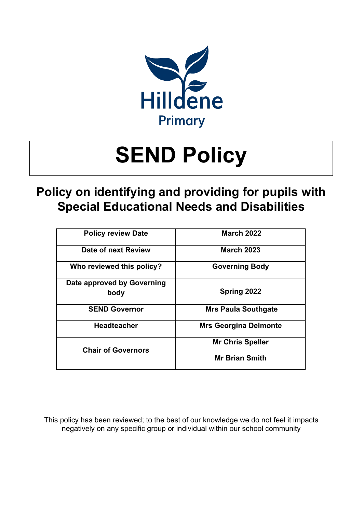

# **Policy on identifying and providing for pupils with Special Educational Needs and Disabilities**

| <b>Policy review Date</b>          | <b>March 2022</b>            |
|------------------------------------|------------------------------|
| Date of next Review                | <b>March 2023</b>            |
| Who reviewed this policy?          | <b>Governing Body</b>        |
| Date approved by Governing<br>body | Spring 2022                  |
| <b>SEND Governor</b>               | <b>Mrs Paula Southgate</b>   |
| <b>Headteacher</b>                 | <b>Mrs Georgina Delmonte</b> |
| <b>Chair of Governors</b>          | <b>Mr Chris Speller</b>      |
|                                    | <b>Mr Brian Smith</b>        |

This policy has been reviewed; to the best of our knowledge we do not feel it impacts negatively on any specific group or individual within our school community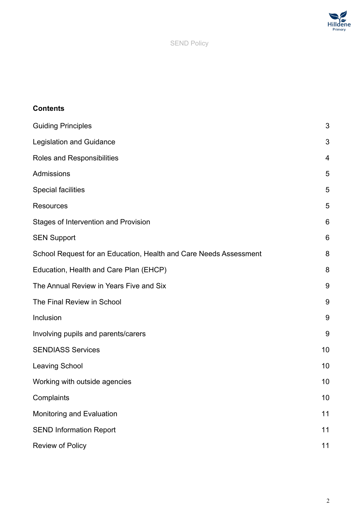

# **Contents**

| <b>Guiding Principles</b>                                         | 3  |
|-------------------------------------------------------------------|----|
| <b>Legislation and Guidance</b>                                   | 3  |
| Roles and Responsibilities                                        | 4  |
| Admissions                                                        | 5  |
| <b>Special facilities</b>                                         | 5  |
| <b>Resources</b>                                                  | 5  |
| Stages of Intervention and Provision                              | 6  |
| <b>SEN Support</b>                                                | 6  |
| School Request for an Education, Health and Care Needs Assessment | 8  |
| Education, Health and Care Plan (EHCP)                            | 8  |
| The Annual Review in Years Five and Six                           | 9  |
| The Final Review in School                                        | 9  |
| Inclusion                                                         | 9  |
| Involving pupils and parents/carers                               | 9  |
| <b>SENDIASS Services</b>                                          | 10 |
| <b>Leaving School</b>                                             | 10 |
| Working with outside agencies                                     | 10 |
| Complaints                                                        | 10 |
| Monitoring and Evaluation                                         | 11 |
| <b>SEND Information Report</b>                                    | 11 |
| Review of Policy                                                  | 11 |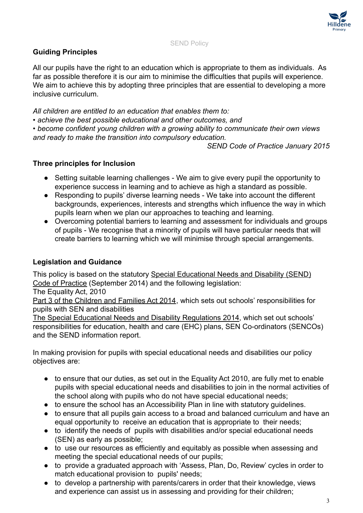

# <span id="page-2-0"></span>**Guiding Principles**

All our pupils have the right to an education which is appropriate to them as individuals. As far as possible therefore it is our aim to minimise the difficulties that pupils will experience. We aim to achieve this by adopting three principles that are essential to developing a more inclusive curriculum.

*All children are entitled to an education that enables them to:*

*• achieve the best possible educational and other outcomes, and*

*• become confident young children with a growing ability to communicate their own views and ready to make the transition into compulsory education.*

*SEND Code of Practice January 2015*

### **Three principles for Inclusion**

- **●** Setting suitable learning challenges We aim to give every pupil the opportunity to experience success in learning and to achieve as high a standard as possible.
- **●** Responding to pupils' diverse learning needs We take into account the different backgrounds, experiences, interests and strengths which influence the way in which pupils learn when we plan our approaches to teaching and learning.
- **●** Overcoming potential barriers to learning and assessment for individuals and groups of pupils - We recognise that a minority of pupils will have particular needs that will create barriers to learning which we will minimise through special arrangements.

### <span id="page-2-1"></span>**Legislation and Guidance**

This policy is based on the statutory Special Educational [Needs and Disability \(SEND\)](https://www.gov.uk/government/uploads/system/uploads/attachment_data/file/398815/SEND_Code_of_Practice_January_2015.pdf) [Code of Practice](https://www.gov.uk/government/uploads/system/uploads/attachment_data/file/398815/SEND_Code_of_Practice_January_2015.pdf) (September 2014) and the following legislation:

The Equality Act, 2010

[Part 3 of the Children and Families Act 2014](http://www.legislation.gov.uk/ukpga/2014/6/part/3), which sets out schools' responsibilities for pupils with SEN and disabilities

[The Special Educational Needs and Disability Regulations 2014,](http://www.legislation.gov.uk/uksi/2014/1530/contents/made) which set out schools' responsibilities for education, health and care (EHC) plans, SEN Co-ordinators (SENCOs) and the SEND information report.

In making provision for pupils with special educational needs and disabilities our policy objectives are:

- to ensure that our duties, as set out in the Equality Act 2010, are fully met to enable pupils with special educational needs and disabilities to join in the normal activities of the school along with pupils who do not have special educational needs;
- to ensure the school has an Accessibility Plan in line with statutory guidelines.
- to ensure that all pupils gain access to a broad and balanced curriculum and have an equal opportunity to receive an education that is appropriate to their needs;
- to identify the needs of pupils with disabilities and/or special educational needs (SEN) as early as possible;
- to use our resources as efficiently and equitably as possible when assessing and meeting the special educational needs of our pupils;
- to provide a graduated approach with 'Assess, Plan, Do, Review' cycles in order to match educational provision to pupils' needs;
- to develop a partnership with parents/carers in order that their knowledge, views and experience can assist us in assessing and providing for their children;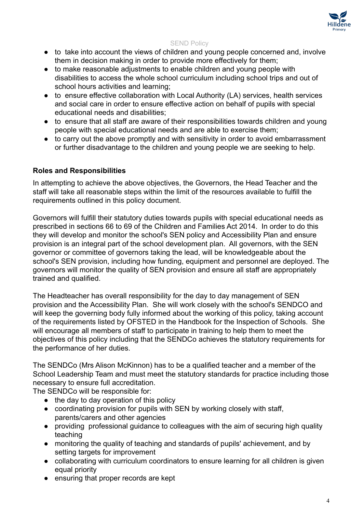

- to take into account the views of children and young people concerned and, involve them in decision making in order to provide more effectively for them;
- to make reasonable adjustments to enable children and young people with disabilities to access the whole school curriculum including school trips and out of school hours activities and learning;
- to ensure effective collaboration with Local Authority (LA) services, health services and social care in order to ensure effective action on behalf of pupils with special educational needs and disabilities;
- to ensure that all staff are aware of their responsibilities towards children and young people with special educational needs and are able to exercise them;
- to carry out the above promptly and with sensitivity in order to avoid embarrassment or further disadvantage to the children and young people we are seeking to help.

### <span id="page-3-0"></span>**Roles and Responsibilities**

In attempting to achieve the above objectives, the Governors, the Head Teacher and the staff will take all reasonable steps within the limit of the resources available to fulfill the requirements outlined in this policy document.

Governors will fulfill their statutory duties towards pupils with special educational needs as prescribed in sections 66 to 69 of the Children and Families Act 2014. In order to do this they will develop and monitor the school's SEN policy and Accessibility Plan and ensure provision is an integral part of the school development plan. All governors, with the SEN governor or committee of governors taking the lead, will be knowledgeable about the school's SEN provision, including how funding, equipment and personnel are deployed. The governors will monitor the quality of SEN provision and ensure all staff are appropriately trained and qualified.

The Headteacher has overall responsibility for the day to day management of SEN provision and the Accessibility Plan. She will work closely with the school's SENDCO and will keep the governing body fully informed about the working of this policy, taking account of the requirements listed by OFSTED in the Handbook for the Inspection of Schools. She will encourage all members of staff to participate in training to help them to meet the objectives of this policy including that the SENDCo achieves the statutory requirements for the performance of her duties.

The SENDCo (Mrs Alison McKinnon) has to be a qualified teacher and a member of the School Leadership Team and must meet the statutory standards for practice including those necessary to ensure full accreditation.

The SENDCo will be responsible for:

- the day to day operation of this policy
- coordinating provision for pupils with SEN by working closely with staff, parents/carers and other agencies
- providing professional guidance to colleagues with the aim of securing high quality teaching
- monitoring the quality of teaching and standards of pupils' achievement, and by setting targets for improvement
- collaborating with curriculum coordinators to ensure learning for all children is given equal priority
- ensuring that proper records are kept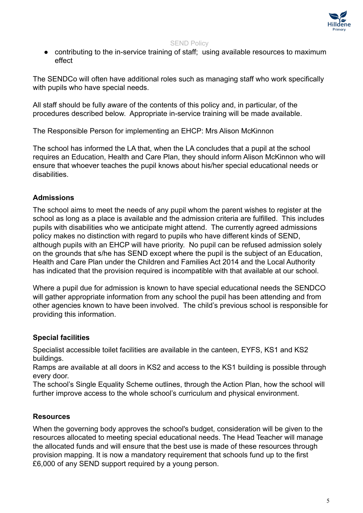

• contributing to the in-service training of staff; using available resources to maximum effect

The SENDCo will often have additional roles such as managing staff who work specifically with pupils who have special needs.

All staff should be fully aware of the contents of this policy and, in particular, of the procedures described below. Appropriate in-service training will be made available.

The Responsible Person for implementing an EHCP: Mrs Alison McKinnon

The school has informed the LA that, when the LA concludes that a pupil at the school requires an Education, Health and Care Plan, they should inform Alison McKinnon who will ensure that whoever teaches the pupil knows about his/her special educational needs or disabilities.

# <span id="page-4-0"></span>**Admissions**

The school aims to meet the needs of any pupil whom the parent wishes to register at the school as long as a place is available and the admission criteria are fulfilled. This includes pupils with disabilities who we anticipate might attend. The currently agreed admissions policy makes no distinction with regard to pupils who have different kinds of SEND, although pupils with an EHCP will have priority. No pupil can be refused admission solely on the grounds that s/he has SEND except where the pupil is the subject of an Education, Health and Care Plan under the Children and Families Act 2014 and the Local Authority has indicated that the provision required is incompatible with that available at our school.

Where a pupil due for admission is known to have special educational needs the SENDCO will gather appropriate information from any school the pupil has been attending and from other agencies known to have been involved. The child's previous school is responsible for providing this information.

### <span id="page-4-1"></span>**Special facilities**

Specialist accessible toilet facilities are available in the canteen, EYFS, KS1 and KS2 buildings.

Ramps are available at all doors in KS2 and access to the KS1 building is possible through every door.

The school's Single Equality Scheme outlines, through the Action Plan, how the school will further improve access to the whole school's curriculum and physical environment.

### <span id="page-4-2"></span>**Resources**

When the governing body approves the school's budget, consideration will be given to the resources allocated to meeting special educational needs. The Head Teacher will manage the allocated funds and will ensure that the best use is made of these resources through provision mapping. It is now a mandatory requirement that schools fund up to the first £6,000 of any SEND support required by a young person.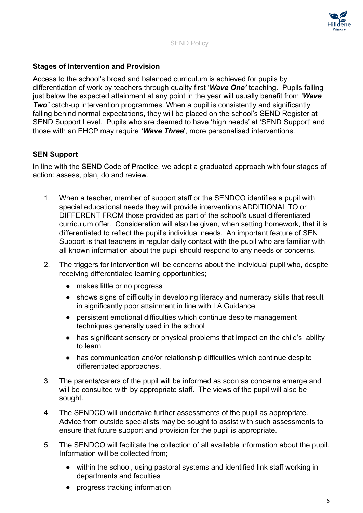

# <span id="page-5-0"></span>**Stages of Intervention and Provision**

Access to the school's broad and balanced curriculum is achieved for pupils by differentiation of work by teachers through quality first '*Wave One'* teaching. Pupils falling just below the expected attainment at any point in the year will usually benefit from *'Wave Two'* catch-up intervention programmes. When a pupil is consistently and significantly falling behind normal expectations, they will be placed on the school's SEND Register at SEND Support Level. Pupils who are deemed to have 'high needs' at 'SEND Support' and those with an EHCP may require *'Wave Three*', more personalised interventions.

# <span id="page-5-1"></span>**SEN Support**

In line with the SEND Code of Practice, we adopt a graduated approach with four stages of action: assess, plan, do and review.

- 1. When a teacher, member of support staff or the SENDCO identifies a pupil with special educational needs they will provide interventions ADDITIONAL TO or DIFFERENT FROM those provided as part of the school's usual differentiated curriculum offer. Consideration will also be given, when setting homework, that it is differentiated to reflect the pupil's individual needs. An important feature of SEN Support is that teachers in regular daily contact with the pupil who are familiar with all known information about the pupil should respond to any needs or concerns.
- 2. The triggers for intervention will be concerns about the individual pupil who, despite receiving differentiated learning opportunities;
	- makes little or no progress
	- shows signs of difficulty in developing literacy and numeracy skills that result in significantly poor attainment in line with LA Guidance
	- persistent emotional difficulties which continue despite management techniques generally used in the school
	- has significant sensory or physical problems that impact on the child's ability to learn
	- has communication and/or relationship difficulties which continue despite differentiated approaches.
- 3. The parents/carers of the pupil will be informed as soon as concerns emerge and will be consulted with by appropriate staff. The views of the pupil will also be sought.
- 4. The SENDCO will undertake further assessments of the pupil as appropriate. Advice from outside specialists may be sought to assist with such assessments to ensure that future support and provision for the pupil is appropriate.
- 5. The SENDCO will facilitate the collection of all available information about the pupil. Information will be collected from;
	- within the school, using pastoral systems and identified link staff working in departments and faculties
	- progress tracking information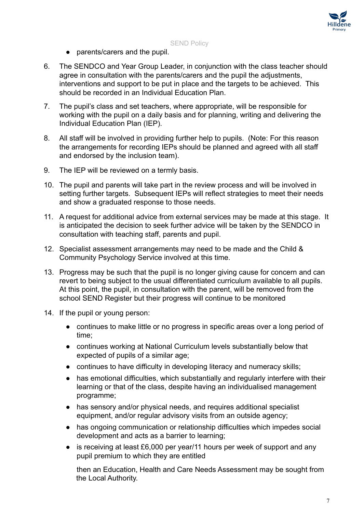

- parents/carers and the pupil.
- 6. The SENDCO and Year Group Leader, in conjunction with the class teacher should agree in consultation with the parents/carers and the pupil the adjustments, interventions and support to be put in place and the targets to be achieved. This should be recorded in an Individual Education Plan.
- 7. The pupil's class and set teachers, where appropriate, will be responsible for working with the pupil on a daily basis and for planning, writing and delivering the Individual Education Plan (IEP).
- 8. All staff will be involved in providing further help to pupils. (Note: For this reason the arrangements for recording IEPs should be planned and agreed with all staff and endorsed by the inclusion team).
- 9. The IEP will be reviewed on a termly basis.
- 10. The pupil and parents will take part in the review process and will be involved in setting further targets. Subsequent IEPs will reflect strategies to meet their needs and show a graduated response to those needs.
- 11. A request for additional advice from external services may be made at this stage. It is anticipated the decision to seek further advice will be taken by the SENDCO in consultation with teaching staff, parents and pupil.
- 12. Specialist assessment arrangements may need to be made and the Child & Community Psychology Service involved at this time.
- 13. Progress may be such that the pupil is no longer giving cause for concern and can revert to being subject to the usual differentiated curriculum available to all pupils. At this point, the pupil, in consultation with the parent, will be removed from the school SEND Register but their progress will continue to be monitored
- 14. If the pupil or young person:
	- continues to make little or no progress in specific areas over a long period of time;
	- continues working at National Curriculum levels substantially below that expected of pupils of a similar age;
	- continues to have difficulty in developing literacy and numeracy skills;
	- has emotional difficulties, which substantially and regularly interfere with their learning or that of the class, despite having an individualised management programme;
	- has sensory and/or physical needs, and requires additional specialist equipment, and/or regular advisory visits from an outside agency;
	- has ongoing communication or relationship difficulties which impedes social development and acts as a barrier to learning;
	- is receiving at least £6,000 per year/11 hours per week of support and any pupil premium to which they are entitled

then an Education, Health and Care Needs Assessment may be sought from the Local Authority.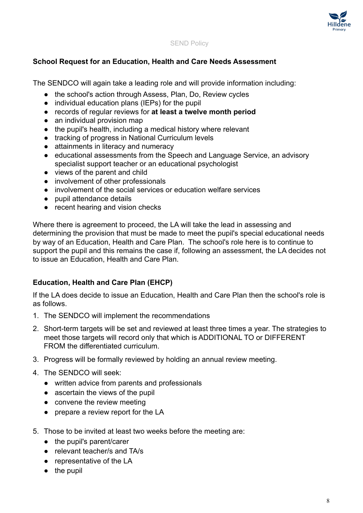

#### <span id="page-7-0"></span>**School Request for an Education, Health and Care Needs Assessment**

The SENDCO will again take a leading role and will provide information including:

- the school's action through Assess, Plan, Do, Review cycles
- individual education plans (IEPs) for the pupil
- records of regular reviews for **at least a twelve month period**
- an individual provision map
- the pupil's health, including a medical history where relevant
- tracking of progress in National Curriculum levels
- attainments in literacy and numeracy
- educational assessments from the Speech and Language Service, an advisory specialist support teacher or an educational psychologist
- views of the parent and child
- involvement of other professionals
- involvement of the social services or education welfare services
- pupil attendance details
- recent hearing and vision checks

Where there is agreement to proceed, the LA will take the lead in assessing and determining the provision that must be made to meet the pupil's special educational needs by way of an Education, Health and Care Plan. The school's role here is to continue to support the pupil and this remains the case if, following an assessment, the LA decides not to issue an Education, Health and Care Plan.

### <span id="page-7-1"></span>**Education, Health and Care Plan (EHCP)**

If the LA does decide to issue an Education, Health and Care Plan then the school's role is as follows.

- 1. The SENDCO will implement the recommendations
- 2. Short-term targets will be set and reviewed at least three times a year. The strategies to meet those targets will record only that which is ADDITIONAL TO or DIFFERENT FROM the differentiated curriculum.
- 3. Progress will be formally reviewed by holding an annual review meeting.
- 4. The SENDCO will seek:
	- written advice from parents and professionals
	- ascertain the views of the pupil
	- convene the review meeting
	- prepare a review report for the LA
- 5. Those to be invited at least two weeks before the meeting are:
	- the pupil's parent/carer
	- relevant teacher/s and TA/s
	- representative of the LA
	- the pupil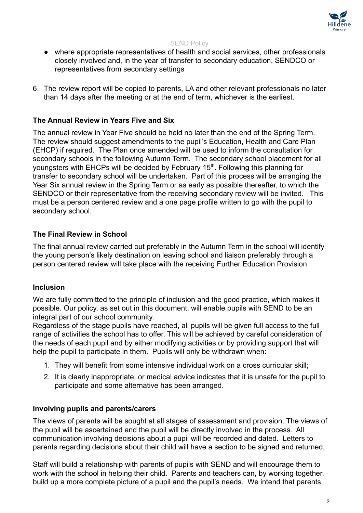

- where appropriate representatives of health and social services, other professionals closely involved and, in the year of transfer to secondary education, SENDCO or representatives from secondary settings
- 6. The review report will be copied to parents, LA and other relevant professionals no later than 14 days after the meeting or at the end of term, whichever is the earliest.

#### <span id="page-8-0"></span>**The Annual Review in Years Five and Six**

The annual review in Year Five should be held no later than the end of the Spring Term. The review should suggest amendments to the pupil's Education, Health and Care Plan (EHCP) if required. The Plan once amended will be used to inform the consultation for secondary schools in the following Autumn Term. The secondary school placement for all youngsters with EHCPs will be decided by February 15<sup>th</sup>. Following this planning for transfer to secondary school will be undertaken. Part of this process will be arranging the Year Six annual review in the Spring Term or as early as possible thereafter, to which the SENDCO or their representative from the receiving secondary review will be invited. This must be a person centered review and a one page profile written to go with the pupil to secondary school.

#### <span id="page-8-1"></span>**The Final Review in School**

The final annual review carried out preferably in the Autumn Term in the school will identify the young person's likely destination on leaving school and liaison preferably through a person centered review will take place with the receiving Further Education Provision

#### <span id="page-8-2"></span>**Inclusion**

We are fully committed to the principle of inclusion and the good practice, which makes it possible. Our policy, as set out in this document, will enable pupils with SEND to be an integral part of our school community.

Regardless of the stage pupils have reached, all pupils will be given full access to the full range of activities the school has to offer. This will be achieved by careful consideration of the needs of each pupil and by either modifying activities or by providing support that will help the pupil to participate in them. Pupils will only be withdrawn when:

- 1. They will benefit from some intensive individual work on a cross curricular skill;
- 2. It is clearly inappropriate, or medical advice indicates that it is unsafe for the pupil to participate and some alternative has been arranged.

#### <span id="page-8-3"></span>**Involving pupils and parents/carers**

The views of parents will be sought at all stages of assessment and provision. The views of the pupil will be ascertained and the pupil will be directly involved in the process. All communication involving decisions about a pupil will be recorded and dated. Letters to parents regarding decisions about their child will have a section to be signed and returned.

Staff will build a relationship with parents of pupils with SEND and will encourage them to work with the school in helping their child. Parents and teachers can, by working together, build up a more complete picture of a pupil and the pupil's needs. We intend that parents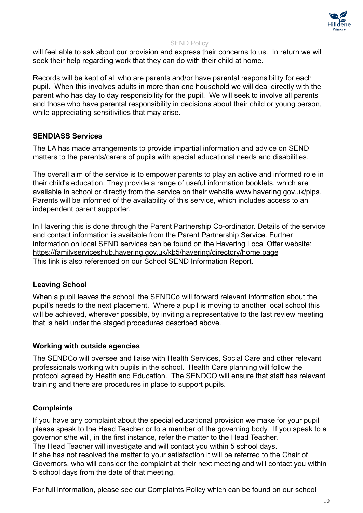

will feel able to ask about our provision and express their concerns to us. In return we will seek their help regarding work that they can do with their child at home.

Records will be kept of all who are parents and/or have parental responsibility for each pupil. When this involves adults in more than one household we will deal directly with the parent who has day to day responsibility for the pupil. We will seek to involve all parents and those who have parental responsibility in decisions about their child or young person, while appreciating sensitivities that may arise.

#### <span id="page-9-0"></span>**SENDIASS Services**

The LA has made arrangements to provide impartial information and advice on SEND matters to the parents/carers of pupils with special educational needs and disabilities.

The overall aim of the service is to empower parents to play an active and informed role in their child's education. They provide a range of useful information booklets, which are available in school or directly from the service on their website www.havering.gov.uk/pips. Parents will be informed of the availability of this service, which includes access to an independent parent supporter.

In Havering this is done through the Parent Partnership Co-ordinator. Details of the service and contact information is available from the Parent Partnership Service. Further information on local SEND services can be found on the Havering Local Offer website: <https://familyserviceshub.havering.gov.uk/kb5/havering/directory/home.page> This link is also referenced on our School SEND Information Report.

### <span id="page-9-1"></span>**Leaving School**

When a pupil leaves the school, the SENDCo will forward relevant information about the pupil's needs to the next placement. Where a pupil is moving to another local school this will be achieved, wherever possible, by inviting a representative to the last review meeting that is held under the staged procedures described above.

#### <span id="page-9-2"></span>**Working with outside agencies**

The SENDCo will oversee and liaise with Health Services, Social Care and other relevant professionals working with pupils in the school. Health Care planning will follow the protocol agreed by Health and Education. The SENDCO will ensure that staff has relevant training and there are procedures in place to support pupils.

### <span id="page-9-3"></span>**Complaints**

If you have any complaint about the special educational provision we make for your pupil please speak to the Head Teacher or to a member of the governing body. If you speak to a governor s/he will, in the first instance, refer the matter to the Head Teacher. The Head Teacher will investigate and will contact you within 5 school days. If she has not resolved the matter to your satisfaction it will be referred to the Chair of Governors, who will consider the complaint at their next meeting and will contact you within 5 school days from the date of that meeting.

For full information, please see our Complaints Policy which can be found on our school